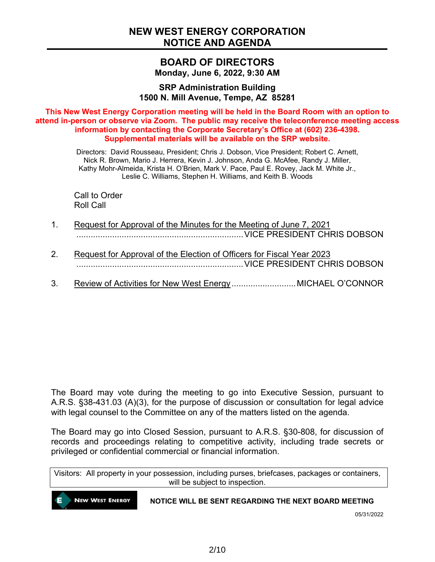### **BOARD OF DIRECTORS Monday, June 6, 2022, 9:30 AM**

**SRP Administration Building 1500 N. Mill Avenue, Tempe, AZ 85281**

**This New West Energy Corporation meeting will be held in the Board Room with an option to attend in-person or observe via Zoom. The public may receive the teleconference meeting access information by contacting the Corporate Secretary's Office at (602) 236-4398. Supplemental materials will be available on the SRP website.**

> Directors: David Rousseau, President; Chris J. Dobson, Vice President; Robert C. Arnett, Nick R. Brown, Mario J. Herrera, Kevin J. Johnson, Anda G. McAfee, Randy J. Miller, Kathy Mohr-Almeida, Krista H. O'Brien, Mark V. Pace, Paul E. Rovey, Jack M. White Jr., Leslie C. Williams, Stephen H. Williams, and Keith B. Woods

Call to Order Roll Call

- 1. Request for Approval of the Minutes for the Meeting of June 7, 2021 ......................................................................VICE PRESIDENT CHRIS DOBSON
- 2. Request for Approval of the Election of Officers for Fiscal Year 2023 ......................................................................VICE PRESIDENT CHRIS DOBSON
- 3. Review of Activities for New West Energy............................... MICHAEL O'CONNOR

The Board may vote during the meeting to go into Executive Session, pursuant to A.R.S. §38-431.03 (A)(3), for the purpose of discussion or consultation for legal advice with legal counsel to the Committee on any of the matters listed on the agenda.

The Board may go into Closed Session, pursuant to A.R.S. §30-808, for discussion of records and proceedings relating to competitive activity, including trade secrets or privileged or confidential commercial or financial information.

Visitors: All property in your possession, including purses, briefcases, packages or containers, will be subject to inspection.

**NEW WEST ENERGY** 

#### **NOTICE WILL BE SENT REGARDING THE NEXT BOARD MEETING**

05/31/2022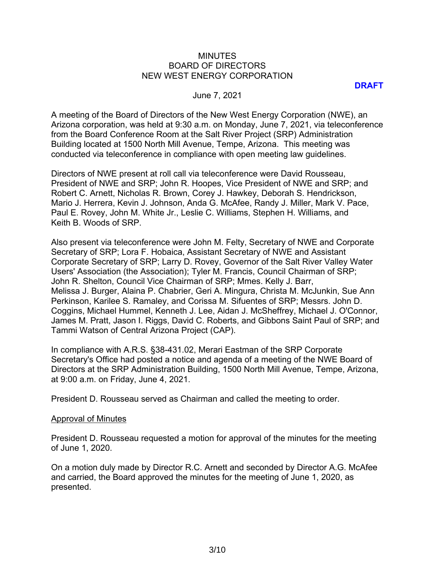#### MINUTES BOARD OF DIRECTORS NEW WEST ENERGY CORPORATION

**DRAFT**

#### June 7, 2021

A meeting of the Board of Directors of the New West Energy Corporation (NWE), an Arizona corporation, was held at 9:30 a.m. on Monday, June 7, 2021, via teleconference from the Board Conference Room at the Salt River Project (SRP) Administration Building located at 1500 North Mill Avenue, Tempe, Arizona. This meeting was conducted via teleconference in compliance with open meeting law guidelines.

Directors of NWE present at roll call via teleconference were David Rousseau, President of NWE and SRP; John R. Hoopes, Vice President of NWE and SRP; and Robert C. Arnett, Nicholas R. Brown, Corey J. Hawkey, Deborah S. Hendrickson, Mario J. Herrera, Kevin J. Johnson, Anda G. McAfee, Randy J. Miller, Mark V. Pace, Paul E. Rovey, John M. White Jr., Leslie C. Williams, Stephen H. Williams, and Keith B. Woods of SRP.

Also present via teleconference were John M. Felty, Secretary of NWE and Corporate Secretary of SRP; Lora F. Hobaica, Assistant Secretary of NWE and Assistant Corporate Secretary of SRP; Larry D. Rovey, Governor of the Salt River Valley Water Users' Association (the Association); Tyler M. Francis, Council Chairman of SRP; John R. Shelton, Council Vice Chairman of SRP; Mmes. Kelly J. Barr, Melissa J. Burger, Alaina P. Chabrier, Geri A. Mingura, Christa M. McJunkin, Sue Ann Perkinson, Karilee S. Ramaley, and Corissa M. Sifuentes of SRP; Messrs. John D. Coggins, Michael Hummel, Kenneth J. Lee, Aidan J. McSheffrey, Michael J. O'Connor, James M. Pratt, Jason I. Riggs, David C. Roberts, and Gibbons Saint Paul of SRP; and Tammi Watson of Central Arizona Project (CAP).

In compliance with A.R.S. §38-431.02, Merari Eastman of the SRP Corporate Secretary's Office had posted a notice and agenda of a meeting of the NWE Board of Directors at the SRP Administration Building, 1500 North Mill Avenue, Tempe, Arizona, at 9:00 a.m. on Friday, June 4, 2021.

President D. Rousseau served as Chairman and called the meeting to order.

#### Approval of Minutes

President D. Rousseau requested a motion for approval of the minutes for the meeting of June 1, 2020.

On a motion duly made by Director R.C. Arnett and seconded by Director A.G. McAfee and carried, the Board approved the minutes for the meeting of June 1, 2020, as presented.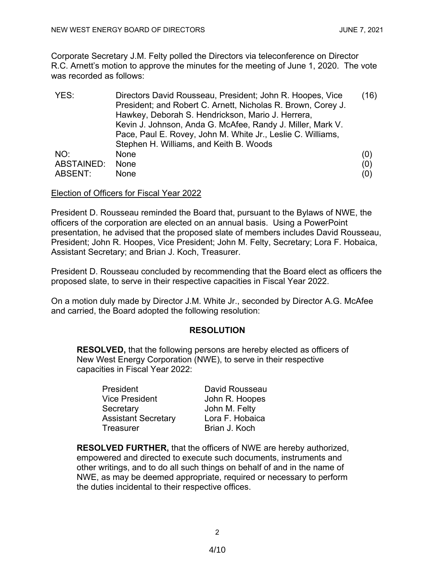Corporate Secretary J.M. Felty polled the Directors via teleconference on Director R.C. Arnett's motion to approve the minutes for the meeting of June 1, 2020. The vote was recorded as follows:

| YES:       | Directors David Rousseau, President; John R. Hoopes, Vice    | (16) |
|------------|--------------------------------------------------------------|------|
|            | President; and Robert C. Arnett, Nicholas R. Brown, Corey J. |      |
|            | Hawkey, Deborah S. Hendrickson, Mario J. Herrera,            |      |
|            | Kevin J. Johnson, Anda G. McAfee, Randy J. Miller, Mark V.   |      |
|            | Pace, Paul E. Rovey, John M. White Jr., Leslie C. Williams,  |      |
|            | Stephen H. Williams, and Keith B. Woods                      |      |
| NO:        | <b>None</b>                                                  | (0)  |
| ABSTAINED: | None                                                         | (0)  |
| ABSENT:    | None                                                         | (0)  |

#### Election of Officers for Fiscal Year 2022

President D. Rousseau reminded the Board that, pursuant to the Bylaws of NWE, the officers of the corporation are elected on an annual basis. Using a PowerPoint presentation, he advised that the proposed slate of members includes David Rousseau, President; John R. Hoopes, Vice President; John M. Felty, Secretary; Lora F. Hobaica, Assistant Secretary; and Brian J. Koch, Treasurer.

President D. Rousseau concluded by recommending that the Board elect as officers the proposed slate, to serve in their respective capacities in Fiscal Year 2022.

On a motion duly made by Director J.M. White Jr., seconded by Director A.G. McAfee and carried, the Board adopted the following resolution:

#### **RESOLUTION**

**RESOLVED,** that the following persons are hereby elected as officers of New West Energy Corporation (NWE), to serve in their respective capacities in Fiscal Year 2022:

| President                  | David Rousseau  |
|----------------------------|-----------------|
| <b>Vice President</b>      | John R. Hoopes  |
| Secretary                  | John M. Felty   |
| <b>Assistant Secretary</b> | Lora F. Hobaica |
| Treasurer                  | Brian J. Koch   |

**RESOLVED FURTHER,** that the officers of NWE are hereby authorized, empowered and directed to execute such documents, instruments and other writings, and to do all such things on behalf of and in the name of NWE, as may be deemed appropriate, required or necessary to perform the duties incidental to their respective offices.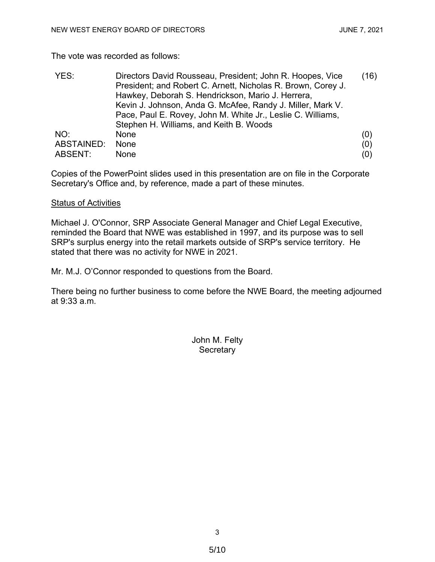The vote was recorded as follows:

| YES:       | Directors David Rousseau, President; John R. Hoopes, Vice<br>President; and Robert C. Arnett, Nicholas R. Brown, Corey J. | (16) |
|------------|---------------------------------------------------------------------------------------------------------------------------|------|
|            | Hawkey, Deborah S. Hendrickson, Mario J. Herrera,                                                                         |      |
|            | Kevin J. Johnson, Anda G. McAfee, Randy J. Miller, Mark V.                                                                |      |
|            | Pace, Paul E. Rovey, John M. White Jr., Leslie C. Williams,                                                               |      |
|            | Stephen H. Williams, and Keith B. Woods                                                                                   |      |
| NO:        | <b>None</b>                                                                                                               | (0)  |
| ABSTAINED: | <b>None</b>                                                                                                               | (0)  |
| ABSENT:    | None                                                                                                                      | (0)  |

Copies of the PowerPoint slides used in this presentation are on file in the Corporate Secretary's Office and, by reference, made a part of these minutes.

#### Status of Activities

Michael J. O'Connor, SRP Associate General Manager and Chief Legal Executive, reminded the Board that NWE was established in 1997, and its purpose was to sell SRP's surplus energy into the retail markets outside of SRP's service territory. He stated that there was no activity for NWE in 2021.

Mr. M.J. O'Connor responded to questions from the Board.

There being no further business to come before the NWE Board, the meeting adjourned at 9:33 a.m.

> John M. Felty **Secretary**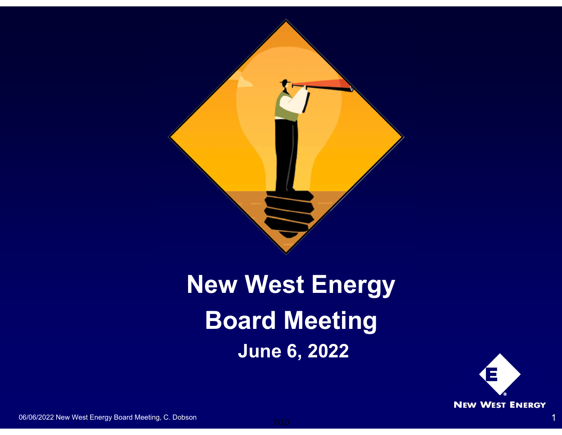

# **New West Energy Board Meeting June 6, 2022**



06/06/2022 New West Energy Board Meeting, C. Dobson 1